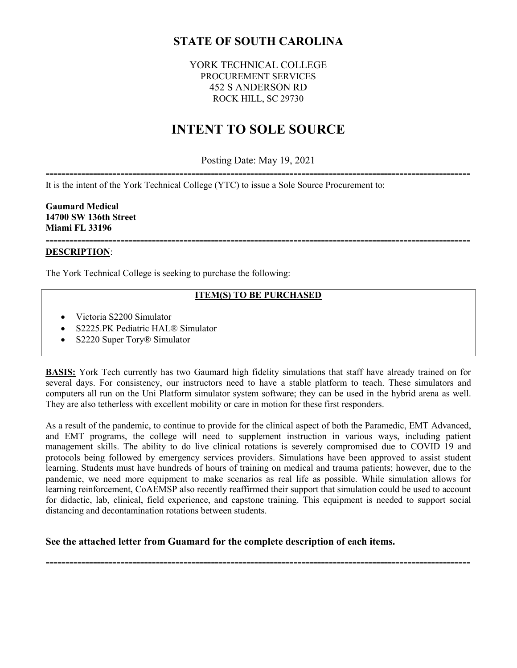## **STATE OF SOUTH CAROLINA**

## YORK TECHNICAL COLLEGE PROCUREMENT SERVICES 452 S ANDERSON RD ROCK HILL, SC 29730

# **INTENT TO SOLE SOURCE**

Posting Date: May 19, 2021

**------------------------------------------------------------------------------------------------------------** It is the intent of the York Technical College (YTC) to issue a Sole Source Procurement to:

**Gaumard Medical 14700 SW 136th Street Miami FL 33196**

#### **------------------------------------------------------------------------------------------------------------ DESCRIPTION**:

The York Technical College is seeking to purchase the following:

#### **ITEM(S) TO BE PURCHASED**

- Victoria S2200 Simulator
- S2225.PK Pediatric HAL® Simulator
- S2220 Super Tory<sup>®</sup> Simulator

**BASIS:** York Tech currently has two Gaumard high fidelity simulations that staff have already trained on for several days. For consistency, our instructors need to have a stable platform to teach. These simulators and computers all run on the Uni Platform simulator system software; they can be used in the hybrid arena as well. They are also tetherless with excellent mobility or care in motion for these first responders.

As a result of the pandemic, to continue to provide for the clinical aspect of both the Paramedic, EMT Advanced, and EMT programs, the college will need to supplement instruction in various ways, including patient management skills. The ability to do live clinical rotations is severely compromised due to COVID 19 and protocols being followed by emergency services providers. Simulations have been approved to assist student learning. Students must have hundreds of hours of training on medical and trauma patients; however, due to the pandemic, we need more equipment to make scenarios as real life as possible. While simulation allows for learning reinforcement, CoAEMSP also recently reaffirmed their support that simulation could be used to account for didactic, lab, clinical, field experience, and capstone training. This equipment is needed to support social distancing and decontamination rotations between students.

**------------------------------------------------------------------------------------------------------------**

**See the attached letter from Guamard for the complete description of each items.**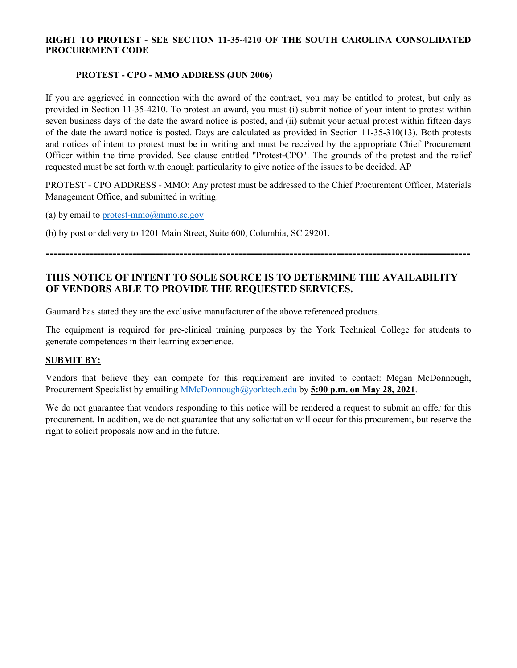#### **RIGHT TO PROTEST - SEE SECTION 11-35-4210 OF THE SOUTH CAROLINA CONSOLIDATED PROCUREMENT CODE**

#### **PROTEST - CPO - MMO ADDRESS (JUN 2006)**

If you are aggrieved in connection with the award of the contract, you may be entitled to protest, but only as provided in Section 11-35-4210. To protest an award, you must (i) submit notice of your intent to protest within seven business days of the date the award notice is posted, and (ii) submit your actual protest within fifteen days of the date the award notice is posted. Days are calculated as provided in Section 11-35-310(13). Both protests and notices of intent to protest must be in writing and must be received by the appropriate Chief Procurement Officer within the time provided. See clause entitled "Protest-CPO". The grounds of the protest and the relief requested must be set forth with enough particularity to give notice of the issues to be decided. AP

PROTEST - CPO ADDRESS - MMO: Any protest must be addressed to the Chief Procurement Officer, Materials Management Office, and submitted in writing:

(a) by email to protest-mmo $@$ mmo.sc.gov

(b) by post or delivery to 1201 Main Street, Suite 600, Columbia, SC 29201.

## **THIS NOTICE OF INTENT TO SOLE SOURCE IS TO DETERMINE THE AVAILABILITY OF VENDORS ABLE TO PROVIDE THE REQUESTED SERVICES.**

**------------------------------------------------------------------------------------------------------------**

Gaumard has stated they are the exclusive manufacturer of the above referenced products.

The equipment is required for pre-clinical training purposes by the York Technical College for students to generate competences in their learning experience.

#### **SUBMIT BY:**

Vendors that believe they can compete for this requirement are invited to contact: Megan McDonnough, Procurement Specialist by emailing [MMcDonnough@yorktech.edu](mailto:MMcDonnough@yorktech.edu) by **5:00 p.m. on May 28, 2021**.

We do not guarantee that vendors responding to this notice will be rendered a request to submit an offer for this procurement. In addition, we do not guarantee that any solicitation will occur for this procurement, but reserve the right to solicit proposals now and in the future.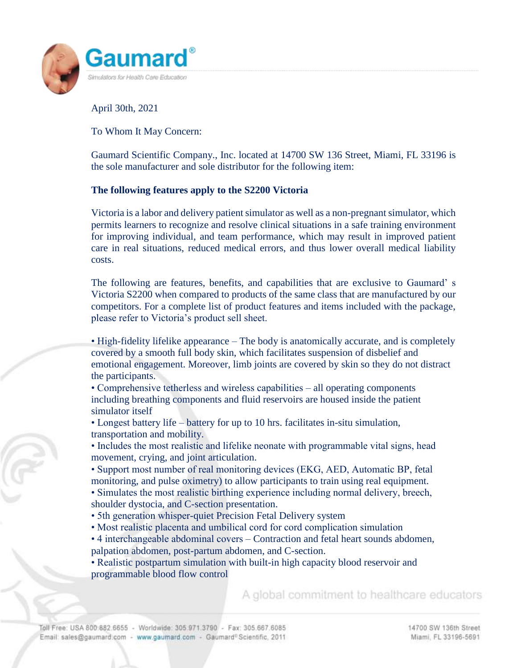

April 30th, 2021

To Whom It May Concern:

Gaumard Scientific Company., Inc. located at 14700 SW 136 Street, Miami, FL 33196 is the sole manufacturer and sole distributor for the following item:

## **The following features apply to the S2200 Victoria**

Victoria is a labor and delivery patient simulator as well as a non-pregnant simulator, which permits learners to recognize and resolve clinical situations in a safe training environment for improving individual, and team performance, which may result in improved patient care in real situations, reduced medical errors, and thus lower overall medical liability costs.

The following are features, benefits, and capabilities that are exclusive to Gaumard' s Victoria S2200 when compared to products of the same class that are manufactured by our competitors. For a complete list of product features and items included with the package, please refer to Victoria's product sell sheet.

• High-fidelity lifelike appearance – The body is anatomically accurate, and is completely covered by a smooth full body skin, which facilitates suspension of disbelief and emotional engagement. Moreover, limb joints are covered by skin so they do not distract the participants.

• Comprehensive tetherless and wireless capabilities – all operating components including breathing components and fluid reservoirs are housed inside the patient simulator itself

• Longest battery life – battery for up to 10 hrs. facilitates in-situ simulation, transportation and mobility.

• Includes the most realistic and lifelike neonate with programmable vital signs, head movement, crying, and joint articulation.

• Support most number of real monitoring devices (EKG, AED, Automatic BP, fetal monitoring, and pulse oximetry) to allow participants to train using real equipment.

• Simulates the most realistic birthing experience including normal delivery, breech, shoulder dystocia, and C-section presentation.

- 5th generation whisper-quiet Precision Fetal Delivery system
- Most realistic placenta and umbilical cord for cord complication simulation
- 4 interchangeable abdominal covers Contraction and fetal heart sounds abdomen, palpation abdomen, post-partum abdomen, and C-section.

• Realistic postpartum simulation with built-in high capacity blood reservoir and programmable blood flow control

A global commitment to healthcare educators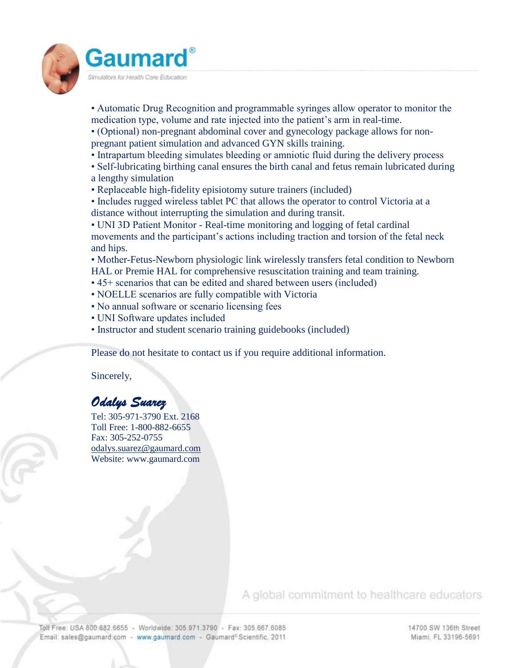

- Automatic Drug Recognition and programmable syringes allow operator to monitor the medication type, volume and rate injected into the patient's arm in real-time.
- (Optional) non-pregnant abdominal cover and gynecology package allows for nonpregnant patient simulation and advanced GYN skills training.
- Intrapartum bleeding simulates bleeding or amniotic fluid during the delivery process
- Self-lubricating birthing canal ensures the birth canal and fetus remain lubricated during a lengthy simulation
- Replaceable high-fidelity episiotomy suture trainers (included)
- Includes rugged wireless tablet PC that allows the operator to control Victoria at a distance without interrupting the simulation and during transit.

• UNI 3D Patient Monitor - Real-time monitoring and logging of fetal cardinal movements and the participant's actions including traction and torsion of the fetal neck and hips.

• Mother-Fetus-Newborn physiologic link wirelessly transfers fetal condition to Newborn HAL or Premie HAL for comprehensive resuscitation training and team training.

- 45+ scenarios that can be edited and shared between users (included)
- NOELLE scenarios are fully compatible with Victoria
- No annual software or scenario licensing fees
- UNI Software updates included
- Instructor and student scenario training guidebooks (included)

Please do not hesitate to contact us if you require additional information.

Sincerely,

## *Odalys Suarez*

Tel: 305-971-3790 Ext. 2168 Toll Free: 1-800-882-6655 Fax: 305-252-0755 [odalys.suarez@gaumard.com](mailto:odalys.suarez@gaumard.com) Website: www.gaumard.com

A global commitment to healthcare educators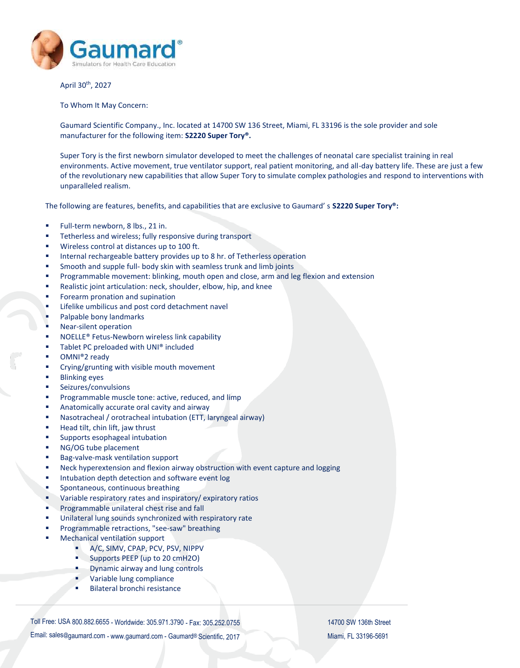

April 30th, 2027

To Whom It May Concern:

Gaumard Scientific Company., Inc. located at 14700 SW 136 Street, Miami, FL 33196 is the sole provider and sole manufacturer for the following item: **S2220 Super Tory®.**

Super Tory is the first newborn simulator developed to meet the challenges of neonatal care specialist training in real environments. Active movement, true ventilator support, real patient monitoring, and all-day battery life. These are just a few of the revolutionary new capabilities that allow Super Tory to simulate complex pathologies and respond to interventions with unparalleled realism.

The following are features, benefits, and capabilities that are exclusive to Gaumard' s **S2220 Super Tory®:**

- Full-term newborn, 8 lbs., 21 in.
- Tetherless and wireless; fully responsive during transport
- Wireless control at distances up to 100 ft.
- Internal rechargeable battery provides up to 8 hr. of Tetherless operation
- Smooth and supple full- body skin with seamless trunk and limb joints
- Programmable movement: blinking, mouth open and close, arm and leg flexion and extension
- Realistic joint articulation: neck, shoulder, elbow, hip, and knee
- Forearm pronation and supination
- Lifelike umbilicus and post cord detachment navel
- Palpable bony landmarks
- Near-silent operation
- NOELLE® Fetus-Newborn wireless link capability
- Tablet PC preloaded with UNI® included
- OMNI®2 ready
- Crying/grunting with visible mouth movement
- Blinking eyes
- Seizures/convulsions
- Programmable muscle tone: active, reduced, and limp
- Anatomically accurate oral cavity and airway
- Nasotracheal / orotracheal intubation (ETT, laryngeal airway)
- Head tilt, chin lift, jaw thrust
- Supports esophageal intubation
- NG/OG tube placement
- Bag-valve-mask ventilation support
- Neck hyperextension and flexion airway obstruction with event capture and logging
- Intubation depth detection and software event log
- Spontaneous, continuous breathing
- Variable respiratory rates and inspiratory/ expiratory ratios
- Programmable unilateral chest rise and fall
- Unilateral lung sounds synchronized with respiratory rate
- Programmable retractions, "see-saw" breathing
- Mechanical ventilation support
	- A/C, SIMV, CPAP, PCV, PSV, NIPPV
	- **Supports PEEP** (up to 20 cmH2O)
	- Dynamic airway and lung controls
	- **variable lung compliance**
	- Bilateral bronchi resistance

Toll Free: USA 800.882.6655 - Worldwide: 305.971.3790 - Fax: 305.252.0755 14700 SW 136th Street

Email: sales@[gaumard.com](mailto:gaumardcareers@gaumard.com) - [www.gaumard.com](http://www.gaumard.com/) - Gaumard® Scientific, 2017 Miami, FL 33196-5691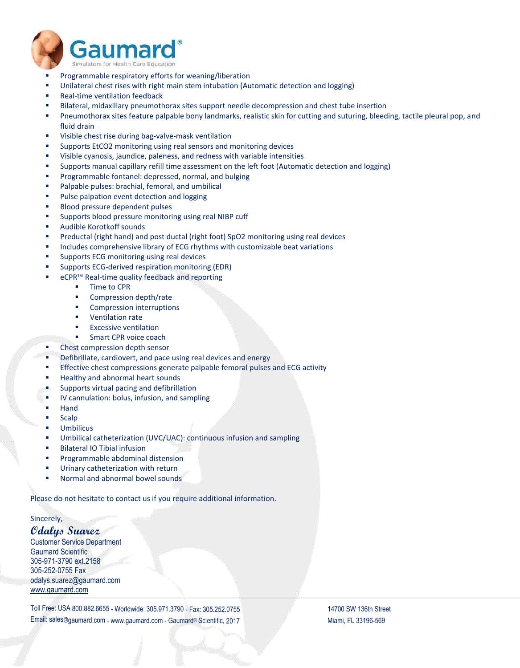

- Programmable respiratory efforts for weaning/liberation
- Unilateral chest rises with right main stem intubation (Automatic detection and logging)
- Real-time ventilation feedback
- Bilateral, midaxillary pneumothorax sites support needle decompression and chest tube insertion
- Pneumothorax sites feature palpable bony landmarks, realistic skin for cutting and suturing, bleeding, tactile pleural pop, and fluid drain
- Visible chest rise during bag-valve-mask ventilation
- Supports EtCO2 monitoring using real sensors and monitoring devices
- Visible cyanosis, jaundice, paleness, and redness with variable intensities
- Supports manual capillary refill time assessment on the left foot (Automatic detection and logging)
- Programmable fontanel: depressed, normal, and bulging
- **Palpable pulses: brachial, femoral, and umbilical**
- Pulse palpation event detection and logging
- **Blood pressure dependent pulses**
- Supports blood pressure monitoring using real NIBP cuff
- Audible Korotkoff sounds
- Preductal (right hand) and post ductal (right foot) SpO2 monitoring using real devices
- Includes comprehensive library of ECG rhythms with customizable beat variations
- Supports ECG monitoring using real devices
- Supports ECG-derived respiration monitoring (EDR)
- eCPR™ Real-time quality feedback and reporting
	- **Time to CPR**
	- Compression depth/rate
	- Compression interruptions
	- **•** Ventilation rate
	- Excessive ventilation
	- Smart CPR voice coach
- **EXECUTE:** Chest compression depth sensor
- Defibrillate, cardiovert, and pace using real devices and energy
- Effective chest compressions generate palpable femoral pulses and ECG activity
- Healthy and abnormal heart sounds
- Supports virtual pacing and defibrillation
- IV cannulation: bolus, infusion, and sampling
- Hand
- Scalp
- Umbilicus
- Umbilical catheterization (UVC/UAC): continuous infusion and sampling
- Bilateral IO Tibial infusion
- Programmable abdominal distension
- Urinary catheterization with return
- Normal and abnormal bowel sounds

Please do not hesitate to contact us if you require additional information.

Sincerely,

## **Odalys Suarez**

Customer Service Department Gaumard Scientific 305-971-3790 ext.2158 305-252-0755 Fax [odalys.suarez@gaumard.com](mailto:odalys.suarez@gaumard.com) [www.gaumard.com](http://www.gaumard.com/)

Toll Free: USA 800.882.6655 - Worldwide: 305.971.3790 - Fax: 305.252.0755 14700 SW 136th Street Email: sales@[gaumard.com](mailto:gaumardcareers@gaumard.com) - [www.gaumard.com](http://www.gaumard.com/) - Gaumard® Scientific, 2017 Miami, FL 33196-569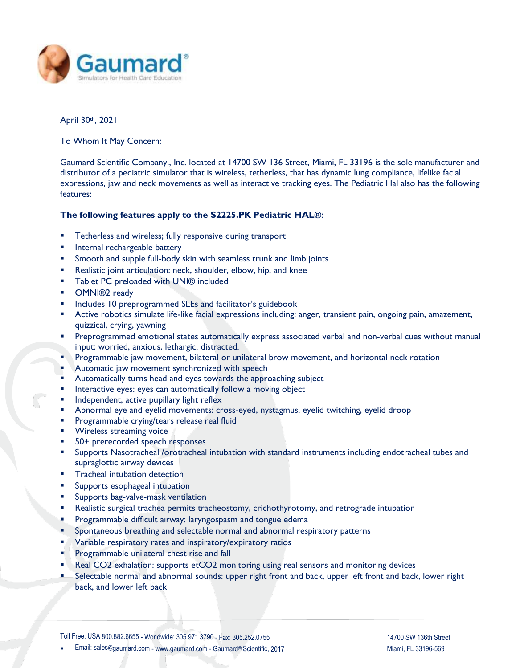

April 30th, 2021

To Whom It May Concern:

Gaumard Scientific Company., Inc. located at 14700 SW 136 Street, Miami, FL 33196 is the sole manufacturer and distributor of a pediatric simulator that is wireless, tetherless, that has dynamic lung compliance, lifelike facial expressions, jaw and neck movements as well as interactive tracking eyes. The Pediatric Hal also has the following features:

#### **The following features apply to the S2225.PK Pediatric HAL®**:

- **Tetherless and wireless; fully responsive during transport**
- **Internal rechargeable battery**
- Smooth and supple full-body skin with seamless trunk and limb joints
- **Realistic joint articulation: neck, shoulder, elbow, hip, and knee**
- Tablet PC preloaded with UNI<sup>®</sup> included
- **DMNI®2** ready
- Includes 10 preprogrammed SLEs and facilitator's guidebook
- Active robotics simulate life-like facial expressions including: anger, transient pain, ongoing pain, amazement, quizzical, crying, yawning
- Preprogrammed emotional states automatically express associated verbal and non-verbal cues without manual input: worried, anxious, lethargic, distracted.
- Programmable jaw movement, bilateral or unilateral brow movement, and horizontal neck rotation
- Automatic jaw movement synchronized with speech
- Automatically turns head and eyes towards the approaching subject
- Interactive eyes: eyes can automatically follow a moving object
- Independent, active pupillary light reflex
- Abnormal eye and eyelid movements: cross-eyed, nystagmus, eyelid twitching, eyelid droop
- Programmable crying/tears release real fluid
- Wireless streaming voice
- 50+ prerecorded speech responses
- Supports Nasotracheal /orotracheal intubation with standard instruments including endotracheal tubes and supraglottic airway devices
- **Tracheal intubation detection**
- Supports esophageal intubation
- Supports bag-valve-mask ventilation
- Realistic surgical trachea permits tracheostomy, crichothyrotomy, and retrograde intubation
- **Programmable difficult airway: laryngospasm and tongue edema**
- Spontaneous breathing and selectable normal and abnormal respiratory patterns
- **Variable respiratory rates and inspiratory/expiratory ratios**
- Programmable unilateral chest rise and fall
- Real CO2 exhalation: supports etCO2 monitoring using real sensors and monitoring devices
- Selectable normal and abnormal sounds: upper right front and back, upper left front and back, lower right back, and lower left back